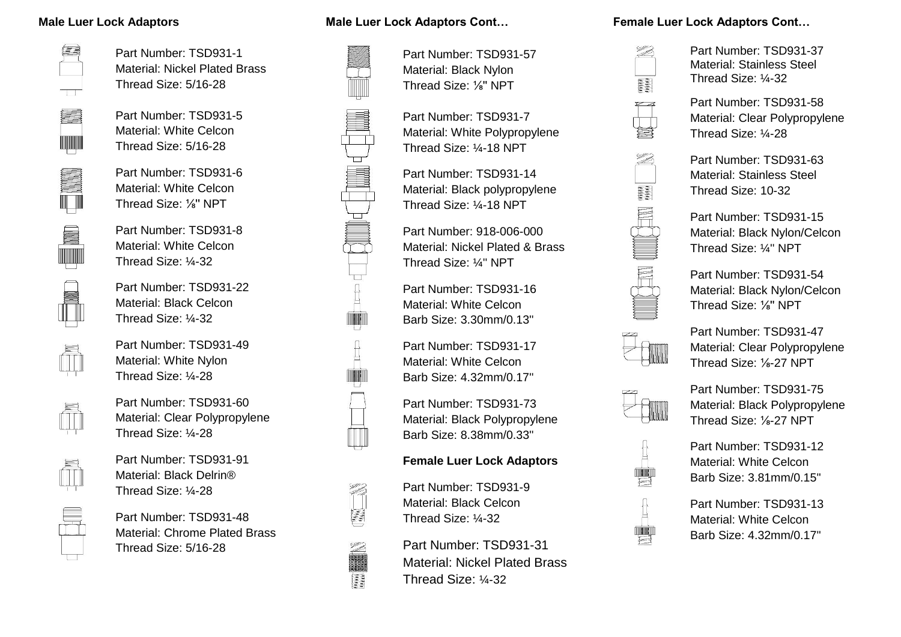#### **Male Luer Lock Adaptors**



Part Number: TSD931-1 Material: Nickel Plated Brass Thread Size: 5/16-28

Part Number: TSD931-5 Material: White Celcon Thread Size: 5/16-28



Part Number: TSD931-6 Material: White Celcon Thread Size: ⅛'' NPT

Part Number: TSD931-8 Material: White Celcon Thread Size: ¼-32



Part Number: TSD931-22 Material: Black Celcon Thread Size: ¼-32

Part Number: TSD931-49 Material: White Nylon Thread Size: ¼-28



Part Number: TSD931-60 Material: Clear Polypropylene Thread Size: ¼-28



Part Number: TSD931-91 Material: Black Delrin® Thread Size: ¼-28

Part Number: TSD931-48 Material: Chrome Plated Brass Thread Size: 5/16-28

#### **Male Luer Lock Adaptors Cont…**



II

Part Number: TSD931-57 Material: Black Nylon Thread Size: ⅛'' NPT

Part Number: TSD931-7 Material: White Polypropylene Thread Size: ¼-18 NPT

Part Number: TSD931-14 Material: Black polypropylene Thread Size: ¼-18 NPT

Part Number: 918-006-000 Material: Nickel Plated & Brass Thread Size: ¼'' NPT

Part Number: TSD931-16 Material: White Celcon Barb Size: 3.30mm/0.13''

Part Number: TSD931-17 Material: White Celcon Barb Size: 4.32mm/0.17''

Part Number: TSD931-73 Material: Black Polypropylene Barb Size: 8.38mm/0.33''

## **Female Luer Lock Adaptors**

Part Number: TSD931-9 Material: Black Celcon Thread Size: ¼-32

Part Number: TSD931-31 Material: Nickel Plated Brass Thread Size: ¼-32

#### **Female Luer Lock Adaptors Cont…**



Part Number: TSD931-37 Material: Stainless Steel Thread Size: ¼-32

Part Number: TSD931-58 Material: Clear Polypropylene Thread Size: ¼-28



Part Number: TSD931-63 Material: Stainless Steel Thread Size: 10-32

Part Number: TSD931-15 Material: Black Nylon/Celcon Thread Size: ¼'' NPT



Part Number: TSD931-54 Material: Black Nylon/Celcon Thread Size: ⅛'' NPT



Part Number: TSD931-47 Material: Clear Polypropylene Thread Size: ⅛-27 NPT



Part Number: TSD931-75 Material: Black Polypropylene Thread Size: ⅛-27 NPT

Part Number: TSD931-12 Material: White Celcon Barb Size: 3.81mm/0.15''



Part Number: TSD931-13 Material: White Celcon Barb Size: 4.32mm/0.17''